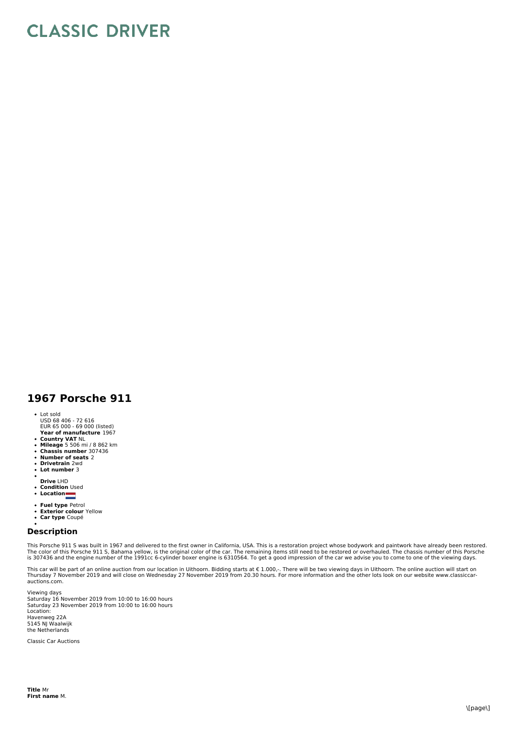## **CLASSIC DRIVER**

## **1967 Porsche 911**

- Lot sold
- USD 68 406 72 616 EUR 65 000 69 000 (listed)
- **Year of manufacture** 1967
- 
- **Country VAT** NL **Mileage** 5 506 mi / 8 862 km **Chassis number** 307436
- $\bullet$
- **Number of seats** 2 **Drivetrain** 2wd  $\ddot{\phantom{a}}$
- $\bullet$ **Lot number** 3
- **Drive** LHD
- 
- **Condition** Used **Location**
- 
- **Fuel type** Petrol  $\bullet$
- $\ddot{\cdot}$ **Exterior colour** Yellow **Car type** Coupé
- 

## **Description**

This Porsche 911 S was built in 1967 and delivered to the first owner in California, USA. This is a restoration project whose bodywork and paintwork have already been restored. The color of this Porsche 911 S, Bahama yellow, is the original color of the car. The remaining items still need to be restored or overhauled. The chassis number of this Porsche<br>is 307436 and the engine number of the 1991c

This car will be part of an online auction from our location in Uithoorn. Bidding starts at € 1.000,-. There will be two viewing days in Uithoorn. The online auction will start on<br>Thursday 7 November 2019 and will close o

Viewing days Saturday 16 November 2019 from 10:00 to 16:00 hours<br>Saturday 23 November 2019 from 10:00 to 16:00 hours Location: Havenweg 22A 5145 NJ Waalwijk the Netherlands

Classic Car Auctions